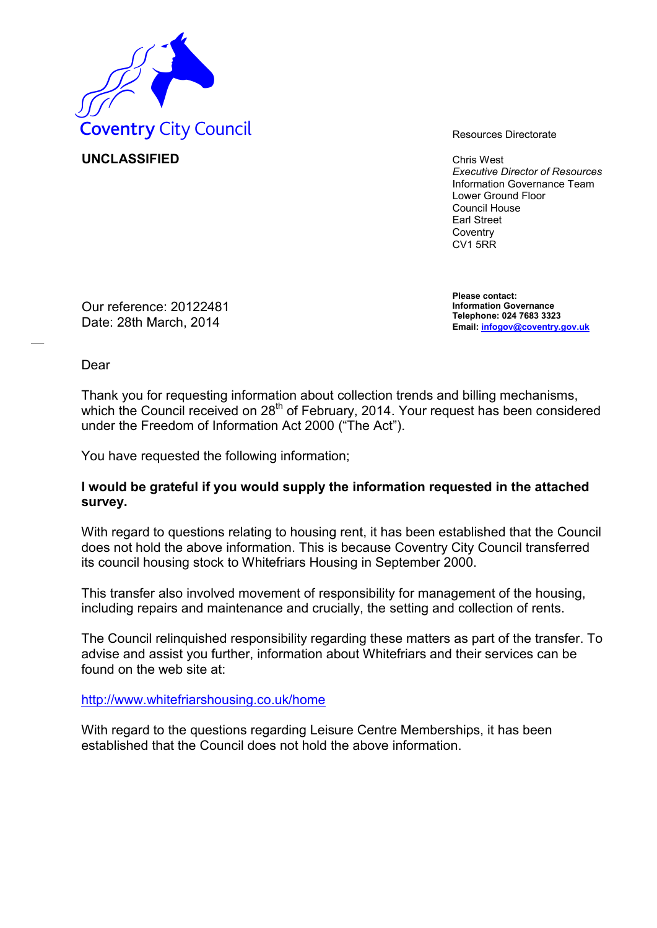

**UNCLASSIFIED** Chris West

*Executive Director of Resources* Information Governance Team Lower Ground Floor Council House Earl Street **Coventry** CV1 5RR

**Please contact: Information Governance Telephone: 024 7683 3323 Email: [infogov@coventry.gov.uk](mailto:infogov@coventry.gov.uk)**

Our reference: 20122481 Date: 28th March, 2014

Dear

Thank you for requesting information about collection trends and billing mechanisms, which the Council received on 28<sup>th</sup> of February, 2014. Your request has been considered under the Freedom of Information Act 2000 ("The Act").

You have requested the following information;

## **I would be grateful if you would supply the information requested in the attached survey.**

With regard to questions relating to housing rent, it has been established that the Council does not hold the above information. This is because Coventry City Council transferred its council housing stock to Whitefriars Housing in September 2000.

This transfer also involved movement of responsibility for management of the housing, including repairs and maintenance and crucially, the setting and collection of rents.

The Council relinquished responsibility regarding these matters as part of the transfer. To advise and assist you further, information about Whitefriars and their services can be found on the web site at:

<http://www.whitefriarshousing.co.uk/home>

With regard to the questions regarding Leisure Centre Memberships, it has been established that the Council does not hold the above information.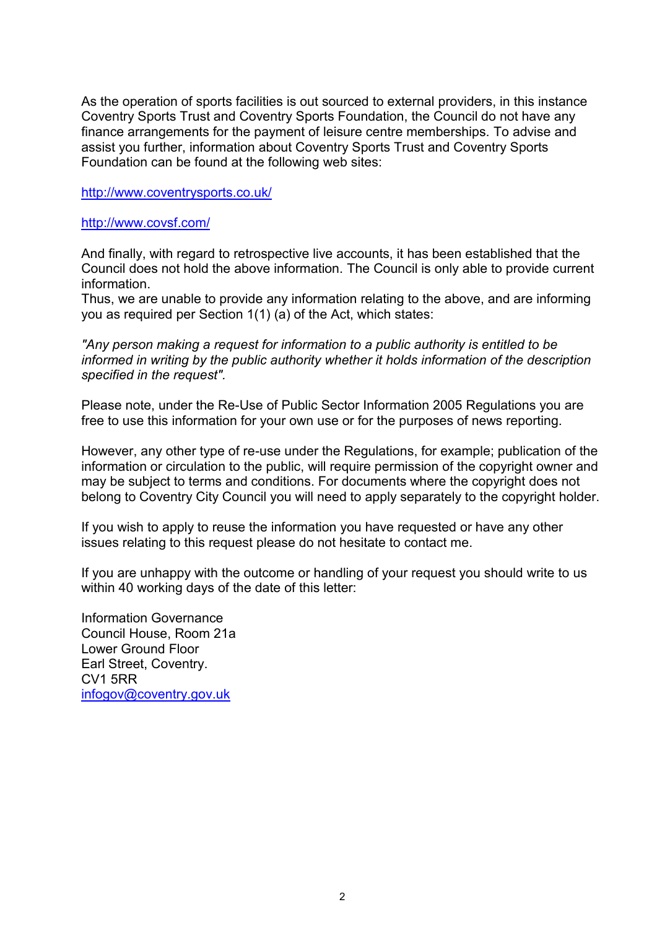As the operation of sports facilities is out sourced to external providers, in this instance Coventry Sports Trust and Coventry Sports Foundation, the Council do not have any finance arrangements for the payment of leisure centre memberships. To advise and assist you further, information about Coventry Sports Trust and Coventry Sports Foundation can be found at the following web sites:

<http://www.coventrysports.co.uk/>

## <http://www.covsf.com/>

And finally, with regard to retrospective live accounts, it has been established that the Council does not hold the above information. The Council is only able to provide current information.

Thus, we are unable to provide any information relating to the above, and are informing you as required per Section 1(1) (a) of the Act, which states:

*"Any person making a request for information to a public authority is entitled to be informed in writing by the public authority whether it holds information of the description specified in the request".*

Please note, under the Re-Use of Public Sector Information 2005 Regulations you are free to use this information for your own use or for the purposes of news reporting.

However, any other type of re-use under the Regulations, for example; publication of the information or circulation to the public, will require permission of the copyright owner and may be subject to terms and conditions. For documents where the copyright does not belong to Coventry City Council you will need to apply separately to the copyright holder.

If you wish to apply to reuse the information you have requested or have any other issues relating to this request please do not hesitate to contact me.

If you are unhappy with the outcome or handling of your request you should write to us within 40 working days of the date of this letter:

Information Governance Council House, Room 21a Lower Ground Floor Earl Street, Coventry. CV1 5RR [infogov@coventry.gov.uk](mailto:infogov@coventry.gov.uk)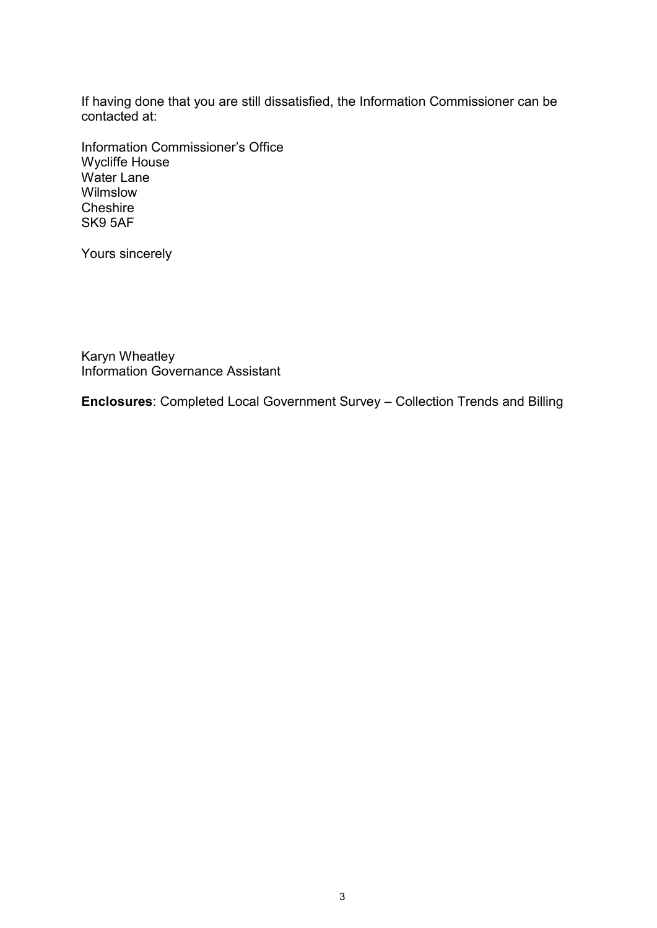If having done that you are still dissatisfied, the Information Commissioner can be contacted at:

Information Commissioner's Office Wycliffe House Water Lane Wilmslow **Cheshire** SK9 5AF

Yours sincerely

Karyn Wheatley Information Governance Assistant

**Enclosures**: Completed Local Government Survey – Collection Trends and Billing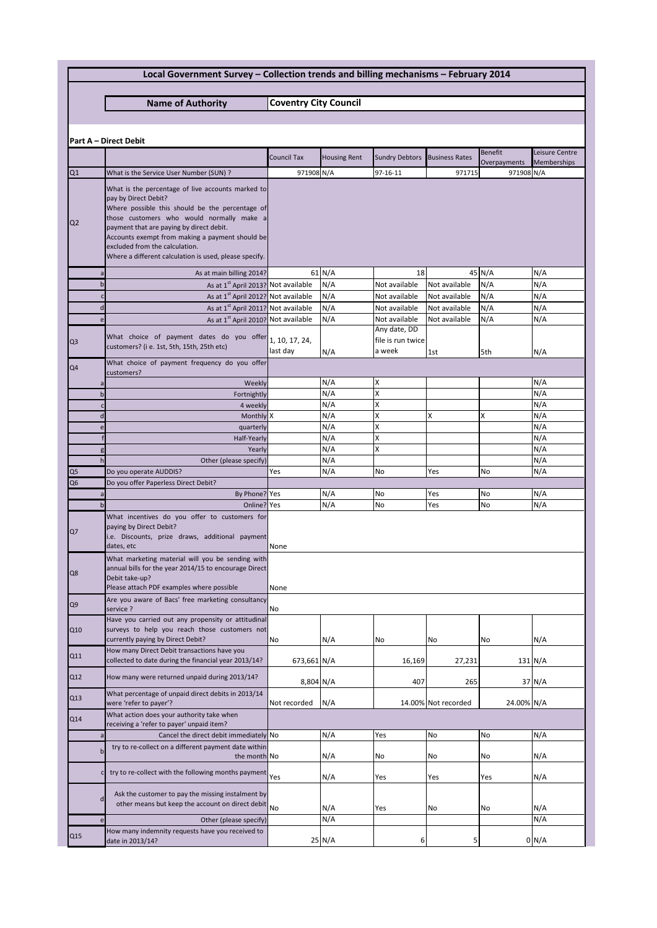## **Local Government Survey – Collection trends and billing mechanisms – February 2014**

**Name of Authority**

**Coventry City Council**

|                | <b>Part A - Direct Debit</b>                                                                                                                                                                                                                                                                                                                                         |                    |                     |                                                    |                       |                                |                               |  |  |  |  |
|----------------|----------------------------------------------------------------------------------------------------------------------------------------------------------------------------------------------------------------------------------------------------------------------------------------------------------------------------------------------------------------------|--------------------|---------------------|----------------------------------------------------|-----------------------|--------------------------------|-------------------------------|--|--|--|--|
|                |                                                                                                                                                                                                                                                                                                                                                                      | <b>Council Tax</b> | <b>Housing Rent</b> | <b>Sundry Debtors</b>                              | <b>Business Rates</b> | <b>Benefit</b><br>Overpayments | Leisure Centre<br>Memberships |  |  |  |  |
| Q1             | What is the Service User Number (SUN) ?                                                                                                                                                                                                                                                                                                                              | 971908 N/A         |                     | 97-16-11                                           | 971715                | 971908 N/A                     |                               |  |  |  |  |
| Q <sub>2</sub> | What is the percentage of live accounts marked to<br>pay by Direct Debit?<br>Where possible this should be the percentage of<br>those customers who would normally make a<br>payment that are paying by direct debit.<br>Accounts exempt from making a payment should be<br>excluded from the calculation.<br>Where a different calculation is used, please specify. |                    |                     |                                                    |                       |                                |                               |  |  |  |  |
|                | As at main billing 2014?                                                                                                                                                                                                                                                                                                                                             |                    | 61 N/A              | 18                                                 |                       | 45 N/A                         | N/A                           |  |  |  |  |
|                | As at 1st April 2013? Not available                                                                                                                                                                                                                                                                                                                                  |                    | N/A                 | Not available                                      | Not available         | N/A                            | N/A                           |  |  |  |  |
|                | As at 1 <sup>st</sup> April 2012? Not available                                                                                                                                                                                                                                                                                                                      |                    | N/A                 | Not available                                      | Not available         | N/A                            | N/A                           |  |  |  |  |
|                | As at 1 <sup>st</sup> April 2011? Not available                                                                                                                                                                                                                                                                                                                      |                    | N/A                 | Not available                                      | Not available         | N/A                            | N/A                           |  |  |  |  |
| Q <sub>3</sub> | As at 1st April 2010? Not available<br>What choice of payment dates do you offer $\vert$ 1, 10, 17, 24,<br>customers? (i e. 1st, 5th, 15th, 25th etc)                                                                                                                                                                                                                |                    | N/A                 | Not available<br>Any date, DD<br>file is run twice | Not available         | N/A                            | N/A                           |  |  |  |  |
|                |                                                                                                                                                                                                                                                                                                                                                                      | last day           | N/A                 | a week                                             | 1st                   | 5th                            | N/A                           |  |  |  |  |
| Q <sub>4</sub> | What choice of payment frequency do you offer<br>customers?                                                                                                                                                                                                                                                                                                          |                    |                     |                                                    |                       |                                |                               |  |  |  |  |
|                | Weekly                                                                                                                                                                                                                                                                                                                                                               |                    | N/A<br>N/A          | Χ<br>X                                             |                       |                                | N/A<br>N/A                    |  |  |  |  |
|                | Fortnightly<br>4 weekly                                                                                                                                                                                                                                                                                                                                              |                    | N/A                 | Χ                                                  |                       |                                | N/A                           |  |  |  |  |
|                | Monthly X                                                                                                                                                                                                                                                                                                                                                            |                    | N/A                 | X                                                  | X                     | X                              | N/A                           |  |  |  |  |
|                | quarterly                                                                                                                                                                                                                                                                                                                                                            |                    | N/A                 | X                                                  |                       |                                | N/A                           |  |  |  |  |
|                | Half-Yearly                                                                                                                                                                                                                                                                                                                                                          |                    | N/A                 | X                                                  |                       |                                | N/A                           |  |  |  |  |
|                | Yearly                                                                                                                                                                                                                                                                                                                                                               |                    | N/A                 | X                                                  |                       |                                | N/A                           |  |  |  |  |
|                | Other (please specify)                                                                                                                                                                                                                                                                                                                                               |                    | N/A                 |                                                    |                       |                                | N/A                           |  |  |  |  |
| Q <sub>5</sub> | Do you operate AUDDIS?                                                                                                                                                                                                                                                                                                                                               | Yes                | N/A                 | No                                                 | Yes                   | No                             | N/A                           |  |  |  |  |
| Q <sub>6</sub> | Do you offer Paperless Direct Debit?<br>By Phone? Yes                                                                                                                                                                                                                                                                                                                |                    | N/A                 | No                                                 | Yes                   | No                             | N/A                           |  |  |  |  |
|                | <b>Online?</b> Yes                                                                                                                                                                                                                                                                                                                                                   |                    | N/A                 | No                                                 | Yes                   | No                             | N/A                           |  |  |  |  |
| Q7             | What incentives do you offer to customers for<br>paying by Direct Debit?<br>i.e. Discounts, prize draws, additional payment<br>dates, etc                                                                                                                                                                                                                            | None               |                     |                                                    |                       |                                |                               |  |  |  |  |
| Q8             | What marketing material will you be sending with<br>annual bills for the year 2014/15 to encourage Direct<br>Debit take-up?<br>Please attach PDF examples where possible                                                                                                                                                                                             | None               |                     |                                                    |                       |                                |                               |  |  |  |  |
| Q <sub>9</sub> | Are you aware of Bacs' free marketing consultancy<br>service ?                                                                                                                                                                                                                                                                                                       | No                 |                     |                                                    |                       |                                |                               |  |  |  |  |
| Q10            | Have you carried out any propensity or attitudinal<br>surveys to help you reach those customers not<br>currently paying by Direct Debit?                                                                                                                                                                                                                             | No                 | N/A                 | No                                                 | No                    | No                             | N/A                           |  |  |  |  |
| Q11            | How many Direct Debit transactions have you<br>collected to date during the financial year 2013/14?                                                                                                                                                                                                                                                                  | 673,661 N/A        |                     | 16,169                                             | 27,231                |                                | 131 N/A                       |  |  |  |  |
| Q12            | How many were returned unpaid during 2013/14?                                                                                                                                                                                                                                                                                                                        | 8,804 N/A          |                     | 407                                                | 265                   |                                | 37 N/A                        |  |  |  |  |
| Q13            | What percentage of unpaid direct debits in 2013/14<br>were 'refer to payer'?                                                                                                                                                                                                                                                                                         | Not recorded       | N/A                 |                                                    | 14.00% Not recorded   | 24.00% N/A                     |                               |  |  |  |  |
| Q14            | What action does your authority take when<br>receiving a 'refer to payer' unpaid item?                                                                                                                                                                                                                                                                               |                    |                     |                                                    |                       |                                |                               |  |  |  |  |
|                | Cancel the direct debit immediately No                                                                                                                                                                                                                                                                                                                               |                    | N/A                 | Yes                                                | No                    | No                             | N/A                           |  |  |  |  |
|                | try to re-collect on a different payment date within<br>the month No                                                                                                                                                                                                                                                                                                 |                    | N/A                 | No                                                 | No                    | No                             | N/A                           |  |  |  |  |
|                | try to re-collect with the following months payment                                                                                                                                                                                                                                                                                                                  | Yes                | N/A                 | Yes                                                | Yes                   | Yes                            | N/A                           |  |  |  |  |
|                | Ask the customer to pay the missing instalment by<br>other means but keep the account on direct debit                                                                                                                                                                                                                                                                |                    |                     |                                                    |                       |                                |                               |  |  |  |  |
|                |                                                                                                                                                                                                                                                                                                                                                                      | No                 | N/A<br>N/A          | Yes                                                | No                    | No                             | N/A<br>N/A                    |  |  |  |  |
|                | Other (please specify)<br>How many indemnity requests have you received to                                                                                                                                                                                                                                                                                           |                    |                     |                                                    |                       |                                |                               |  |  |  |  |
| Q15            | date in 2013/14?                                                                                                                                                                                                                                                                                                                                                     |                    | 25 N/A              | 6                                                  | 5                     |                                | 0 N/A                         |  |  |  |  |